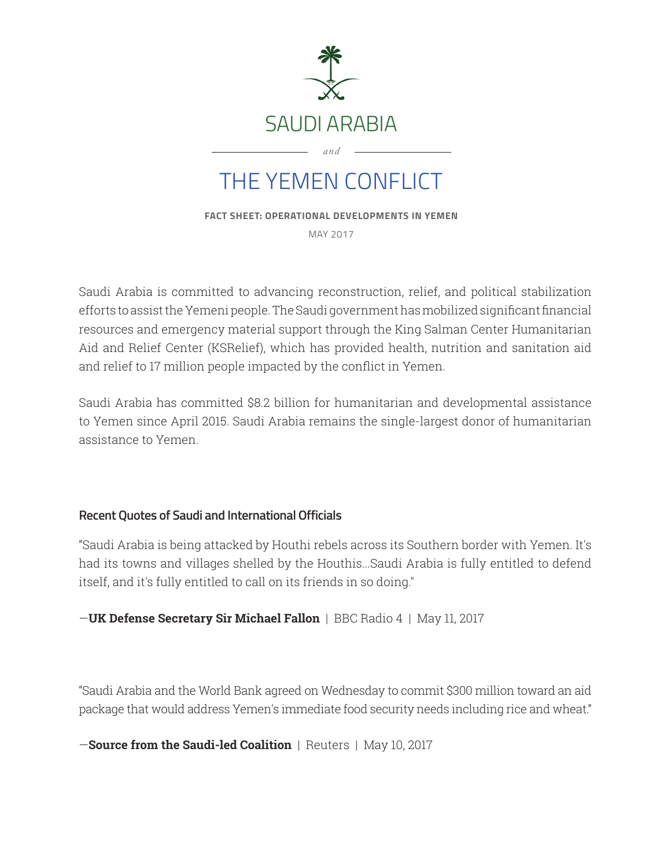

**FACT SHEET: OPERATIONAL DEVELOPMENTS IN YEMEN**

MAY 2017

Saudi Arabia is committed to advancing reconstruction, relief, and political stabilization efforts to assist the Yemeni people. The Saudi government has mobilized significant financial resources and emergency material support through the King Salman Center Humanitarian Aid and Relief Center (KSRelief), which has provided health, nutrition and sanitation aid and relief to 17 million people impacted by the conflict in Yemen.

Saudi Arabia has committed \$8.2 billion for humanitarian and developmental assistance to Yemen since April 2015. Saudi Arabia remains the single-largest donor of humanitarian assistance to Yemen.

## **Recent Quotes of Saudi and International Officials**

"Saudi Arabia is being attacked by Houthi rebels across its Southern border with Yemen. It's had its towns and villages shelled by the Houthis...Saudi Arabia is fully entitled to defend itself, and it's fully entitled to call on its friends in so doing."

—**UK Defense Secretary Sir Michael Fallon** | BBC Radio 4 | May 11, 2017

"Saudi Arabia and the World Bank agreed on Wednesday to commit \$300 million toward an aid package that would address Yemen's immediate food security needs including rice and wheat."

—**Source from the Saudi-led Coalition** | Reuters | May 10, 2017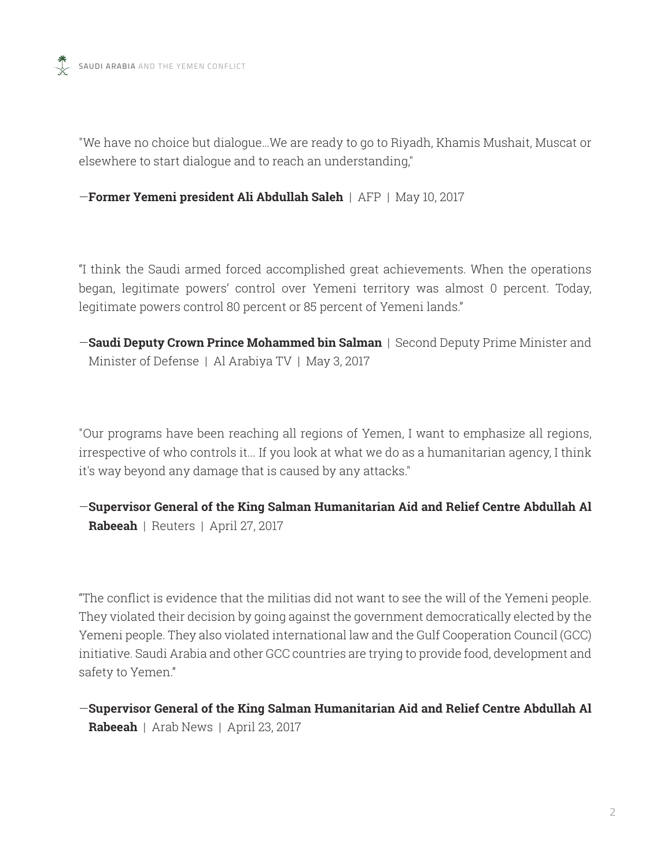"We have no choice but dialogue…We are ready to go to Riyadh, Khamis Mushait, Muscat or elsewhere to start dialogue and to reach an understanding,"

—**Former Yemeni president Ali Abdullah Saleh** | AFP | May 10, 2017

"I think the Saudi armed forced accomplished great achievements. When the operations began, legitimate powers' control over Yemeni territory was almost 0 percent. Today, legitimate powers control 80 percent or 85 percent of Yemeni lands."

—**Saudi Deputy Crown Prince Mohammed bin Salman** | Second Deputy Prime Minister and Minister of Defense | Al Arabiya TV | May 3, 2017

"Our programs have been reaching all regions of Yemen, I want to emphasize all regions, irrespective of who controls it... If you look at what we do as a humanitarian agency, I think it's way beyond any damage that is caused by any attacks."

—**Supervisor General of the King Salman Humanitarian Aid and Relief Centre Abdullah Al Rabeeah** | Reuters | April 27, 2017

"The conflict is evidence that the militias did not want to see the will of the Yemeni people. They violated their decision by going against the government democratically elected by the Yemeni people. They also violated international law and the Gulf Cooperation Council (GCC) initiative. Saudi Arabia and other GCC countries are trying to provide food, development and safety to Yemen."

—**Supervisor General of the King Salman Humanitarian Aid and Relief Centre Abdullah Al Rabeeah** | Arab News | April 23, 2017